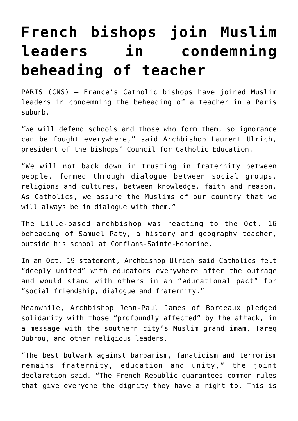## **[French bishops join Muslim](https://www.osvnews.com/2020/10/21/french-bishops-join-muslim-leaders-in-condemning-beheading-of-teacher/) [leaders in condemning](https://www.osvnews.com/2020/10/21/french-bishops-join-muslim-leaders-in-condemning-beheading-of-teacher/) [beheading of teacher](https://www.osvnews.com/2020/10/21/french-bishops-join-muslim-leaders-in-condemning-beheading-of-teacher/)**

PARIS (CNS) — France's Catholic bishops have joined Muslim leaders in condemning the beheading of a teacher in a Paris suburb.

"We will defend schools and those who form them, so ignorance can be fought everywhere," said Archbishop Laurent Ulrich, president of the bishops' Council for Catholic Education.

"We will not back down in trusting in fraternity between people, formed through dialogue between social groups, religions and cultures, between knowledge, faith and reason. As Catholics, we assure the Muslims of our country that we will always be in dialogue with them."

The Lille-based archbishop was reacting to the Oct. 16 beheading of Samuel Paty, a history and geography teacher, outside his school at Conflans-Sainte-Honorine.

In an Oct. 19 statement, Archbishop Ulrich said Catholics felt "deeply united" with educators everywhere after the outrage and would stand with others in an "educational pact" for "social friendship, dialogue and fraternity."

Meanwhile, Archbishop Jean-Paul James of Bordeaux pledged solidarity with those "profoundly affected" by the attack, in a message with the southern city's Muslim grand imam, Tareq Oubrou, and other religious leaders.

"The best bulwark against barbarism, fanaticism and terrorism remains fraternity, education and unity," the joint declaration said. "The French Republic guarantees common rules that give everyone the dignity they have a right to. This is